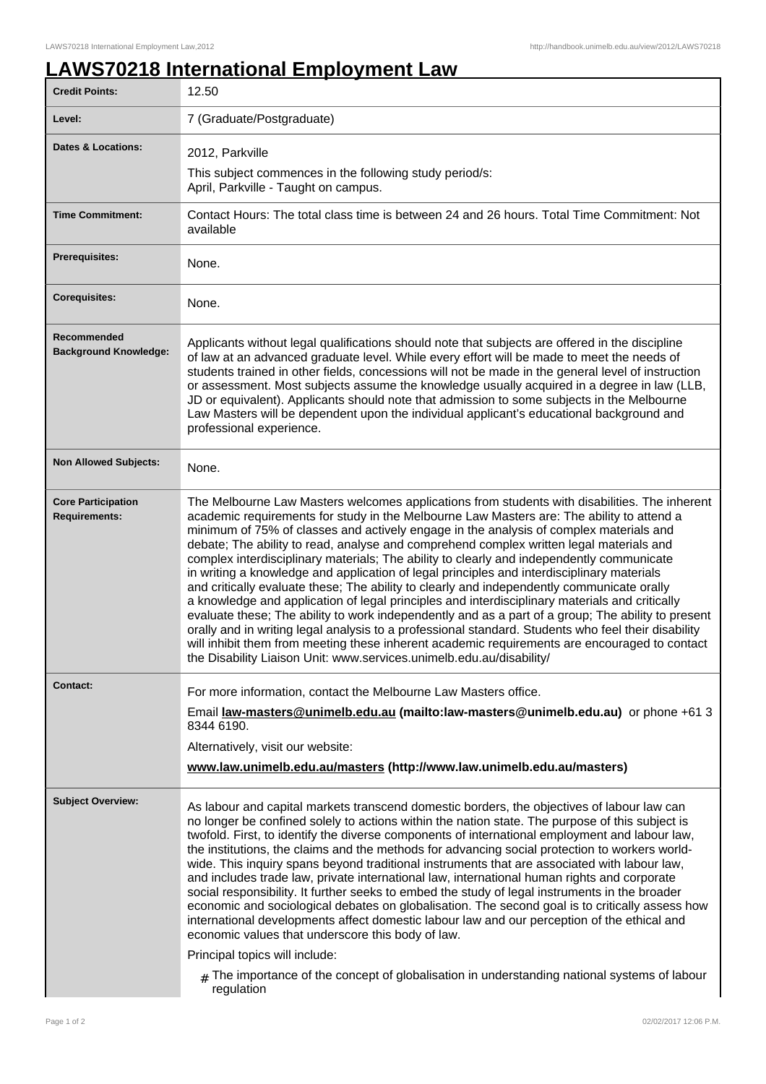## **LAWS70218 International Employment Law**

| <b>Credit Points:</b>                             | 12.50                                                                                                                                                                                                                                                                                                                                                                                                                                                                                                                                                                                                                                                                                                                                                                                                                                                                                                                                                                                                                                                                                                                                                            |
|---------------------------------------------------|------------------------------------------------------------------------------------------------------------------------------------------------------------------------------------------------------------------------------------------------------------------------------------------------------------------------------------------------------------------------------------------------------------------------------------------------------------------------------------------------------------------------------------------------------------------------------------------------------------------------------------------------------------------------------------------------------------------------------------------------------------------------------------------------------------------------------------------------------------------------------------------------------------------------------------------------------------------------------------------------------------------------------------------------------------------------------------------------------------------------------------------------------------------|
| Level:                                            | 7 (Graduate/Postgraduate)                                                                                                                                                                                                                                                                                                                                                                                                                                                                                                                                                                                                                                                                                                                                                                                                                                                                                                                                                                                                                                                                                                                                        |
| <b>Dates &amp; Locations:</b>                     | 2012, Parkville                                                                                                                                                                                                                                                                                                                                                                                                                                                                                                                                                                                                                                                                                                                                                                                                                                                                                                                                                                                                                                                                                                                                                  |
|                                                   | This subject commences in the following study period/s:<br>April, Parkville - Taught on campus.                                                                                                                                                                                                                                                                                                                                                                                                                                                                                                                                                                                                                                                                                                                                                                                                                                                                                                                                                                                                                                                                  |
| <b>Time Commitment:</b>                           | Contact Hours: The total class time is between 24 and 26 hours. Total Time Commitment: Not<br>available                                                                                                                                                                                                                                                                                                                                                                                                                                                                                                                                                                                                                                                                                                                                                                                                                                                                                                                                                                                                                                                          |
| <b>Prerequisites:</b>                             | None.                                                                                                                                                                                                                                                                                                                                                                                                                                                                                                                                                                                                                                                                                                                                                                                                                                                                                                                                                                                                                                                                                                                                                            |
| <b>Corequisites:</b>                              | None.                                                                                                                                                                                                                                                                                                                                                                                                                                                                                                                                                                                                                                                                                                                                                                                                                                                                                                                                                                                                                                                                                                                                                            |
| Recommended<br><b>Background Knowledge:</b>       | Applicants without legal qualifications should note that subjects are offered in the discipline<br>of law at an advanced graduate level. While every effort will be made to meet the needs of<br>students trained in other fields, concessions will not be made in the general level of instruction<br>or assessment. Most subjects assume the knowledge usually acquired in a degree in law (LLB,<br>JD or equivalent). Applicants should note that admission to some subjects in the Melbourne<br>Law Masters will be dependent upon the individual applicant's educational background and<br>professional experience.                                                                                                                                                                                                                                                                                                                                                                                                                                                                                                                                         |
| <b>Non Allowed Subjects:</b>                      | None.                                                                                                                                                                                                                                                                                                                                                                                                                                                                                                                                                                                                                                                                                                                                                                                                                                                                                                                                                                                                                                                                                                                                                            |
| <b>Core Participation</b><br><b>Requirements:</b> | The Melbourne Law Masters welcomes applications from students with disabilities. The inherent<br>academic requirements for study in the Melbourne Law Masters are: The ability to attend a<br>minimum of 75% of classes and actively engage in the analysis of complex materials and<br>debate; The ability to read, analyse and comprehend complex written legal materials and<br>complex interdisciplinary materials; The ability to clearly and independently communicate<br>in writing a knowledge and application of legal principles and interdisciplinary materials<br>and critically evaluate these; The ability to clearly and independently communicate orally<br>a knowledge and application of legal principles and interdisciplinary materials and critically<br>evaluate these; The ability to work independently and as a part of a group; The ability to present<br>orally and in writing legal analysis to a professional standard. Students who feel their disability<br>will inhibit them from meeting these inherent academic requirements are encouraged to contact<br>the Disability Liaison Unit: www.services.unimelb.edu.au/disability/ |
| <b>Contact:</b>                                   | For more information, contact the Melbourne Law Masters office.<br>Email law-masters@unimelb.edu.au (mailto:law-masters@unimelb.edu.au) or phone +61 3<br>8344 6190.                                                                                                                                                                                                                                                                                                                                                                                                                                                                                                                                                                                                                                                                                                                                                                                                                                                                                                                                                                                             |
|                                                   | Alternatively, visit our website:                                                                                                                                                                                                                                                                                                                                                                                                                                                                                                                                                                                                                                                                                                                                                                                                                                                                                                                                                                                                                                                                                                                                |
|                                                   | www.law.unimelb.edu.au/masters (http://www.law.unimelb.edu.au/masters)                                                                                                                                                                                                                                                                                                                                                                                                                                                                                                                                                                                                                                                                                                                                                                                                                                                                                                                                                                                                                                                                                           |
| <b>Subject Overview:</b>                          | As labour and capital markets transcend domestic borders, the objectives of labour law can<br>no longer be confined solely to actions within the nation state. The purpose of this subject is<br>twofold. First, to identify the diverse components of international employment and labour law,<br>the institutions, the claims and the methods for advancing social protection to workers world-<br>wide. This inquiry spans beyond traditional instruments that are associated with labour law,<br>and includes trade law, private international law, international human rights and corporate<br>social responsibility. It further seeks to embed the study of legal instruments in the broader<br>economic and sociological debates on globalisation. The second goal is to critically assess how<br>international developments affect domestic labour law and our perception of the ethical and<br>economic values that underscore this body of law.<br>Principal topics will include:<br>$#$ The importance of the concept of globalisation in understanding national systems of labour                                                                    |
|                                                   |                                                                                                                                                                                                                                                                                                                                                                                                                                                                                                                                                                                                                                                                                                                                                                                                                                                                                                                                                                                                                                                                                                                                                                  |
|                                                   | regulation                                                                                                                                                                                                                                                                                                                                                                                                                                                                                                                                                                                                                                                                                                                                                                                                                                                                                                                                                                                                                                                                                                                                                       |